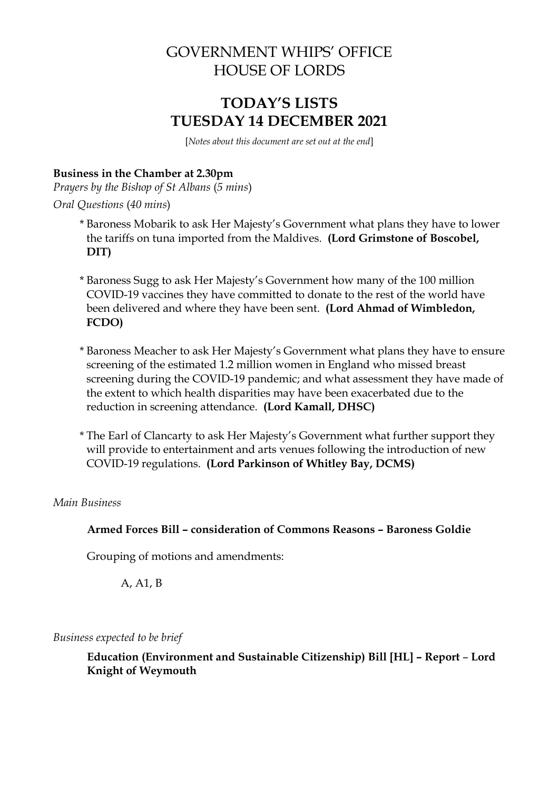# GOVERNMENT WHIPS' OFFICE HOUSE OF LORDS

# **TODAY'S LISTS TUESDAY 14 DECEMBER 2021**

[*Notes about this document are set out at the end*]

#### **Business in the Chamber at 2.30pm**

*Prayers by the Bishop of St Albans* (*5 mins*)

*Oral Questions* (*40 mins*)

- \* Baroness Mobarik to ask Her Majesty's Government what plans they have to lower the tariffs on tuna imported from the Maldives. **(Lord Grimstone of Boscobel, DIT)**
- \* Baroness Sugg to ask Her Majesty's Government how many of the 100 million COVID-19 vaccines they have committed to donate to the rest of the world have been delivered and where they have been sent. **(Lord Ahmad of Wimbledon, FCDO)**
- \* Baroness Meacher to ask Her Majesty's Government what plans they have to ensure screening of the estimated 1.2 million women in England who missed breast screening during the COVID-19 pandemic; and what assessment they have made of the extent to which health disparities may have been exacerbated due to the reduction in screening attendance. **(Lord Kamall, DHSC)**
- \* The Earl of Clancarty to ask Her Majesty's Government what further support they will provide to entertainment and arts venues following the introduction of new COVID-19 regulations. **(Lord Parkinson of Whitley Bay, DCMS)**

#### *Main Business*

**Armed Forces Bill – consideration of Commons Reasons – Baroness Goldie**

Grouping of motions and amendments:

A, A1, B

*Business expected to be brief*

**Education (Environment and Sustainable Citizenship) Bill [HL] – Report** – **Lord Knight of Weymouth**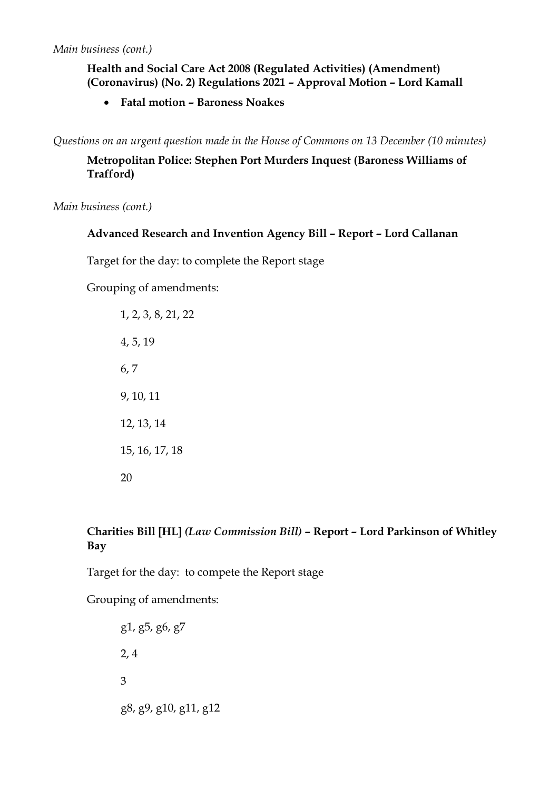## **Health and Social Care Act 2008 (Regulated Activities) (Amendment) (Coronavirus) (No. 2) Regulations 2021 – Approval Motion – Lord Kamall**

**Fatal motion – Baroness Noakes**

*Questions on an urgent question made in the House of Commons on 13 December (10 minutes)*

## **Metropolitan Police: Stephen Port Murders Inquest (Baroness Williams of Trafford)**

*Main business (cont.)*

### **Advanced Research and Invention Agency Bill – Report – Lord Callanan**

Target for the day: to complete the Report stage

Grouping of amendments:

1, 2, 3, 8, 21, 22 4, 5, 19 6, 7 9, 10, 11 12, 13, 14 15, 16, 17, 18 20

## **Charities Bill [HL]** *(Law Commission Bill)* **– Report – Lord Parkinson of Whitley Bay**

Target for the day: to compete the Report stage

Grouping of amendments:

g1, g5, g6, g7 2, 4 3 g8, g9, g10, g11, g12